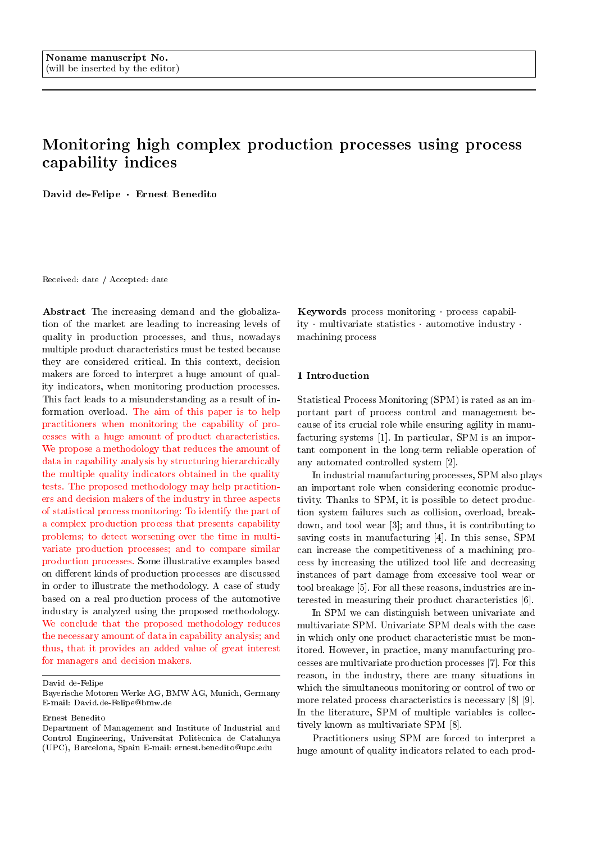# Monitoring high complex production processes using process capability indices

David de-Felipe · Ernest Benedito

Received: date / Accepted: date

Abstract The increasing demand and the globalization of the market are leading to increasing levels of quality in production processes, and thus, nowadays multiple product characteristics must be tested because they are considered critical. In this context, decision makers are forced to interpret a huge amount of quality indicators, when monitoring production processes. This fact leads to a misunderstanding as a result of information overload. The aim of this paper is to help practitioners when monitoring the capability of processes with a huge amount of product characteristics. We propose a methodology that reduces the amount of data in capability analysis by structuring hierarchically the multiple quality indicators obtained in the quality tests. The proposed methodology may help practitioners and decision makers of the industry in three aspects of statistical process monitoring: To identify the part of a complex production process that presents capability problems; to detect worsening over the time in multivariate production processes; and to compare similar production processes. Some illustrative examples based on different kinds of production processes are discussed in order to illustrate the methodology. A case of study based on a real production process of the automotive industry is analyzed using the proposed methodology. We conclude that the proposed methodology reduces the necessary amount of data in capability analysis; and thus, that it provides an added value of great interest for managers and decision makers.

Ernest Benedito

Keywords process monitoring process capability multivariate statistics automotive industry. machining process

## 1 Introduction

Statistical Process Monitoring (SPM) is rated as an important part of process control and management because of its crucial role while ensuring agility in manufacturing systems [1]. In particular, SPM is an important component in the long-term reliable operation of any automated controlled system [2].

In industrial manufacturing processes, SPM also plays an important role when considering economic productivity. Thanks to SPM, it is possible to detect production system failures such as collision, overload, breakdown, and tool wear [3]; and thus, it is contributing to saving costs in manufacturing [4]. In this sense, SPM can increase the competitiveness of a machining process by increasing the utilized tool life and decreasing instances of part damage from excessive tool wear or tool breakage [5]. For all these reasons, industries are interested in measuring their product characteristics [6].

In SPM we can distinguish between univariate and multivariate SPM. Univariate SPM deals with the case in which only one product characteristic must be monitored. However, in practice, many manufacturing processes are multivariate production processes [7]. For this reason, in the industry, there are many situations in which the simultaneous monitoring or control of two or more related process characteristics is necessary [8] [9]. In the literature, SPM of multiple variables is collectively known as multivariate SPM [8].

Practitioners using SPM are forced to interpret a huge amount of quality indicators related to each prod-

David de-Felipe

Bayerische Motoren Werke AG, BMW AG, Munich, Germany E-mail: David.de-Felipe@bmw.de

Department of Management and Institute of Industrial and Control Engineering, Universitat Politècnica de Catalunya (UPC), Barcelona, Spain E-mail: ernest.benedito@upc.edu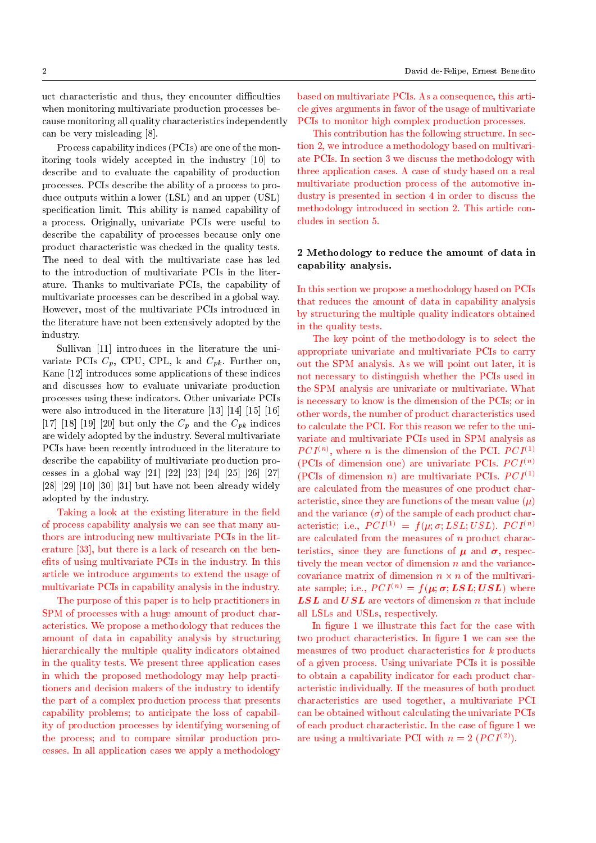uct characteristic and thus, they encounter difficulties when monitoring multivariate production processes because monitoring all quality characteristics independently can be very misleading [8].

Process capability indices (PCIs) are one of the monitoring tools widely accepted in the industry [10] to describe and to evaluate the capability of production processes. PCIs describe the ability of a process to produce outputs within a lower (LSL) and an upper (USL) specification limit. This ability is named capability of a process. Originally, univariate PCIs were useful to describe the capability of processes because only one product characteristic was checked in the quality tests. The need to deal with the multivariate case has led to the introduction of multivariate PCIs in the literature. Thanks to multivariate PCIs, the capability of multivariate processes can be described in a global way. However, most of the multivariate PCIs introduced in the literature have not been extensively adopted by the industry.

Sullivan [11] introduces in the literature the univariate PCIs  $C_p$ , CPU, CPL, k and  $C_{pk}$ . Further on, Kane [12] introduces some applications of these indices and discusses how to evaluate univariate production processes using these indicators. Other univariate PCIs were also introduced in the literature [13] [14] [15] [16] [17] [18] [19] [20] but only the  $C_p$  and the  $C_{pk}$  indices are widely adopted by the industry. Several multivariate PCIs have been recently introduced in the literature to describe the capability of multivariate production processes in a global way [21] [22] [23] [24] [25] [26] [27]  $[28]$   $[29]$   $[10]$   $[30]$   $[31]$  but have not been already widely adopted by the industry.

Taking a look at the existing literature in the field of process capability analysis we can see that many authors are introducing new multivariate PCIs in the literature [33], but there is a lack of research on the benefits of using multivariate PCIs in the industry. In this article we introduce arguments to extend the usage of multivariate PCIs in capability analysis in the industry.

The purpose of this paper is to help practitioners in SPM of processes with a huge amount of product characteristics. We propose a methodology that reduces the amount of data in capability analysis by structuring hierarchically the multiple quality indicators obtained in the quality tests. We present three application cases in which the proposed methodology may help practitioners and decision makers of the industry to identify the part of a complex production process that presents capability problems; to anticipate the loss of capability of production processes by identifying worsening of the process; and to compare similar production processes. In all application cases we apply a methodology

based on multivariate PCIs. As a consequence, this article gives arguments in favor of the usage of multivariate PCIs to monitor high complex production processes.

This contribution has the following structure. In section 2, we introduce a methodology based on multivariate PCIs. In section 3 we discuss the methodology with three application cases. A case of study based on a real multivariate production process of the automotive industry is presented in section 4 in order to discuss the methodology introduced in section 2. This article concludes in section 5.

# 2 Methodology to reduce the amount of data in capability analysis.

In this section we propose a methodology based on PCIs that reduces the amount of data in capability analysis by structuring the multiple quality indicators obtained in the quality tests.

The key point of the methodology is to select the appropriate univariate and multivariate PCIs to carry out the SPM analysis. As we will point out later, it is not necessary to distinguish whether the PCIs used in the SPM analysis are univariate or multivariate. What is necessary to know is the dimension of the PCIs; or in other words, the number of product characteristics used to calculate the PCI. For this reason we refer to the univariate and multivariate PCIs used in SPM analysis as  $PCI<sup>(n)</sup>$ , where *n* is the dimension of the PCI.  $PCI<sup>(1)</sup>$ (PCIs of dimension one) are univariate PCIs.  $PCI^{(n)}$ (PCIs of dimension *n*) are multivariate PCIs.  $PCI^{(1)}$ are calculated from the measures of one product characteristic, since they are functions of the mean value  $(\mu)$ and the variance  $(\sigma)$  of the sample of each product characteristic; i.e.,  $PCI^{(1)} = f(\mu; \sigma; LSL; USL)$ .  $PCI^{(n)}$ are calculated from the measures of n product characteristics, since they are functions of  $\mu$  and  $\sigma$ , respectively the mean vector of dimension  $n$  and the variancecovariance matrix of dimension  $n \times n$  of the multivariate sample; i.e.,  $PCI^{(n)} = f(\mu; \sigma; LSL; USL)$  where  $LSL$  and  $USL$  are vectors of dimension n that include all LSLs and USLs, respectively.

In figure 1 we illustrate this fact for the case with two product characteristics. In figure 1 we can see the measures of two product characteristics for k products of a given process. Using univariate PCIs it is possible to obtain a capability indicator for each product characteristic individually. If the measures of both product characteristics are used together, a multivariate PCI can be obtained without calculating the univariate PCIs of each product characteristic. In the case of figure 1 we are using a multivariate PCI with  $n = 2$   $(PCI<sup>(2)</sup>)$ .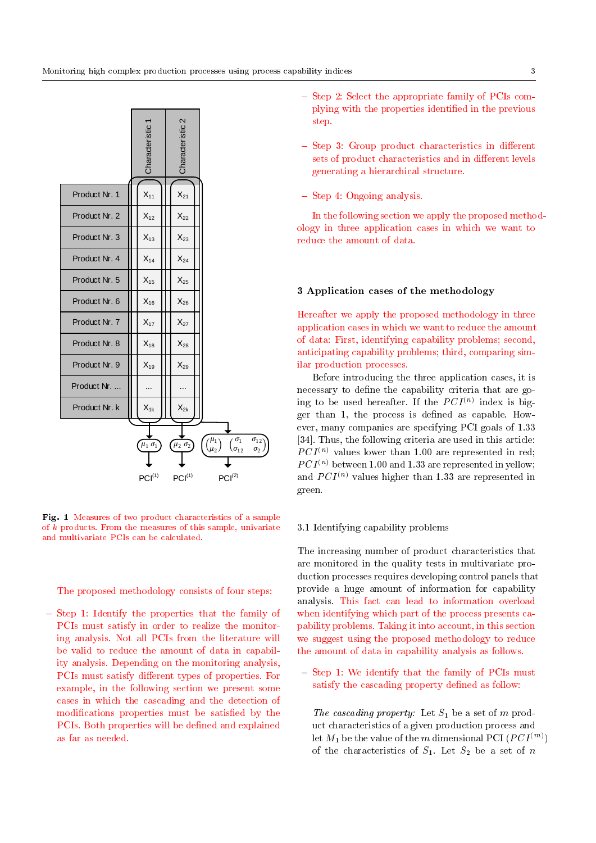

Fig. 1 Measures of two product characteristics of a sample of k products. From the measures of this sample, univariate and multivariate PCIs can be calculated.

The proposed methodology consists of four steps:

 $-$  Step 1: Identify the properties that the family of PCIs must satisfy in order to realize the monitoring analysis. Not all PCIs from the literature will be valid to reduce the amount of data in capability analysis. Depending on the monitoring analysis, PCIs must satisfy different types of properties. For example, in the following section we present some cases in which the cascading and the detection of modifications properties must be satisfied by the PCIs. Both properties will be defined and explained as far as needed.

- $=$  Step 2: Select the appropriate family of PCIs complying with the properties identied in the previous step.
- $-$  Step 3: Group product characteristics in different sets of product characteristics and in different levels generating a hierarchical structure.
- $-$  Step 4: Ongoing analysis.

In the following section we apply the proposed methodology in three application cases in which we want to reduce the amount of data.

#### 3 Application cases of the methodology

Hereafter we apply the proposed methodology in three application cases in which we want to reduce the amount of data: First, identifying capability problems; second, anticipating capability problems; third, comparing similar production processes.

Before introducing the three application cases, it is necessary to define the capability criteria that are going to be used hereafter. If the  $PCI^{(n)}$  index is bigger than 1, the process is defined as capable. However, many companies are specifying PCI goals of 1.33 [34]. Thus, the following criteria are used in this article:  $PCI^{(n)}$  values lower than 1.00 are represented in red;  $PCI^{(n)}$  between 1.00 and 1.33 are represented in yellow; and  $PCI^{(n)}$  values higher than 1.33 are represented in green.

#### 3.1 Identifying capability problems

The increasing number of product characteristics that are monitored in the quality tests in multivariate production processes requires developing control panels that provide a huge amount of information for capability analysis. This fact can lead to information overload when identifying which part of the process presents capability problems. Taking it into account, in this section we suggest using the proposed methodology to reduce the amount of data in capability analysis as follows.

 $-$  Step 1: We identify that the family of PCIs must satisfy the cascading property defined as follow:

The cascading property: Let  $S_1$  be a set of m product characteristics of a given production process and let  $M_1$  be the value of the  $m$  dimensional PCI  $(PCI^{(m)})$ of the characteristics of  $S_1$ . Let  $S_2$  be a set of n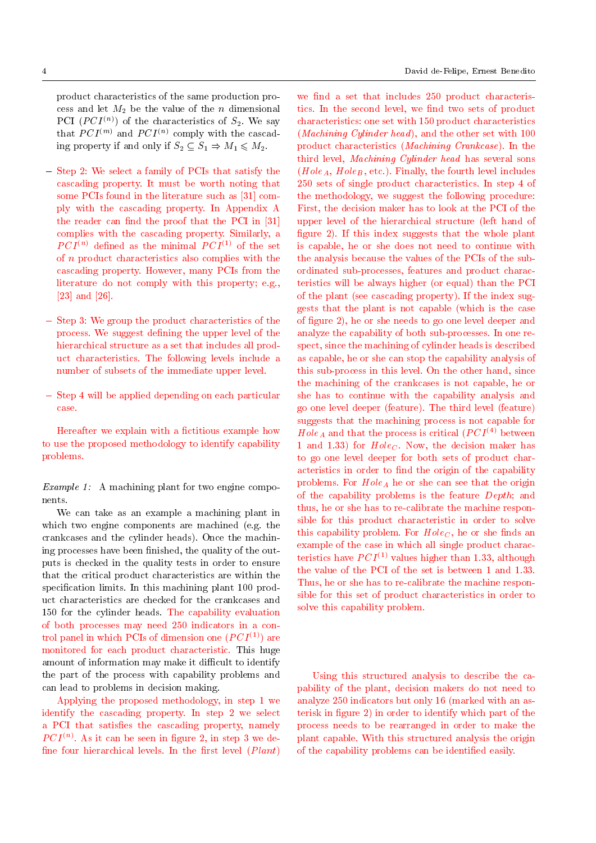product characteristics of the same production process and let  $M_2$  be the value of the *n* dimensional PCI  $(PCI^{(n)})$  of the characteristics of  $S_2$ . We say that  $PCI^{(m)}$  and  $PCI^{(n)}$  comply with the cascading property if and only if  $S_2 \subseteq S_1 \Rightarrow M_1 \leq M_2$ .

- $=$  Step 2: We select a family of PCIs that satisfy the cascading property. It must be worth noting that some PCIs found in the literature such as [31] comply with the cascading property. In Appendix A the reader can find the proof that the PCI in  $[31]$ complies with the cascading property. Similarly, a  $PCI^{(n)}$  defined as the minimal  $PCI^{(1)}$  of the set of n product characteristics also complies with the cascading property. However, many PCIs from the literature do not comply with this property; e.g., [23] and [26].
- $-$  Step 3: We group the product characteristics of the process. We suggest defining the upper level of the hierarchical structure as a set that includes all product characteristics. The following levels include a number of subsets of the immediate upper level.
- ${\rm -}$  Step 4 will be applied depending on each particular case.

Hereafter we explain with a fictitious example how to use the proposed methodology to identify capability problems.

Example 1: A machining plant for two engine components.

We can take as an example a machining plant in which two engine components are machined (e.g. the crankcases and the cylinder heads). Once the machining processes have been finished, the quality of the outputs is checked in the quality tests in order to ensure that the critical product characteristics are within the specification limits. In this machining plant 100 product characteristics are checked for the crankcases and 150 for the cylinder heads. The capability evaluation of both processes may need 250 indicators in a control panel in which PCIs of dimension one  $(PCI^{(1)})$  are monitored for each product characteristic. This huge amount of information may make it difficult to identify the part of the process with capability problems and can lead to problems in decision making.

Applying the proposed methodology, in step 1 we identify the cascading property. In step 2 we select a PCI that satisfies the cascading property, namely  $PCI^{(n)}$ . As it can be seen in figure 2, in step 3 we define four hierarchical levels. In the first level  $(Plant)$ 

we find a set that includes 250 product characteristics. In the second level, we find two sets of product characteristics: one set with 150 product characteristics (Machining Cylinder head), and the other set with 100 product characteristics (Machining Crankcase). In the third level, Machining Cylinder head has several sons  $(Hole<sub>A</sub>, Hole<sub>B</sub>, etc.).$  Finally, the fourth level includes 250 sets of single product characteristics. In step 4 of the methodology, we suggest the following procedure: First, the decision maker has to look at the PCI of the upper level of the hierarchical structure (left hand of figure 2). If this index suggests that the whole plant is capable, he or she does not need to continue with the analysis because the values of the PCIs of the subordinated sub-processes, features and product characteristics will be always higher (or equal) than the PCI of the plant (see cascading property). If the index suggests that the plant is not capable (which is the case of figure 2), he or she needs to go one level deeper and analyze the capability of both sub-processes. In one respect, since the machining of cylinder heads is described as capable, he or she can stop the capability analysis of this sub-process in this level. On the other hand, since the machining of the crankcases is not capable, he or she has to continue with the capability analysis and go one level deeper (feature). The third level (feature) suggests that the machining process is not capable for Hole<sub>A</sub> and that the process is critical ( $PCI<sup>(4)</sup>$  between 1 and 1.33) for  $Hole<sub>C</sub>$ . Now, the decision maker has to go one level deeper for both sets of product characteristics in order to find the origin of the capability problems. For  $Hole<sub>A</sub>$  he or she can see that the origin of the capability problems is the feature Depth; and thus, he or she has to re-calibrate the machine responsible for this product characteristic in order to solve this capability problem. For  $Hole<sub>C</sub>$ , he or she finds an example of the case in which all single product characteristics have  $PCI^{(1)}$  values higher than 1.33, although the value of the PCI of the set is between 1 and 1.33. Thus, he or she has to re-calibrate the machine responsible for this set of product characteristics in order to solve this capability problem.

Using this structured analysis to describe the capability of the plant, decision makers do not need to analyze 250 indicators but only 16 (marked with an asterisk in figure 2) in order to identify which part of the process needs to be rearranged in order to make the plant capable. With this structured analysis the origin of the capability problems can be identied easily.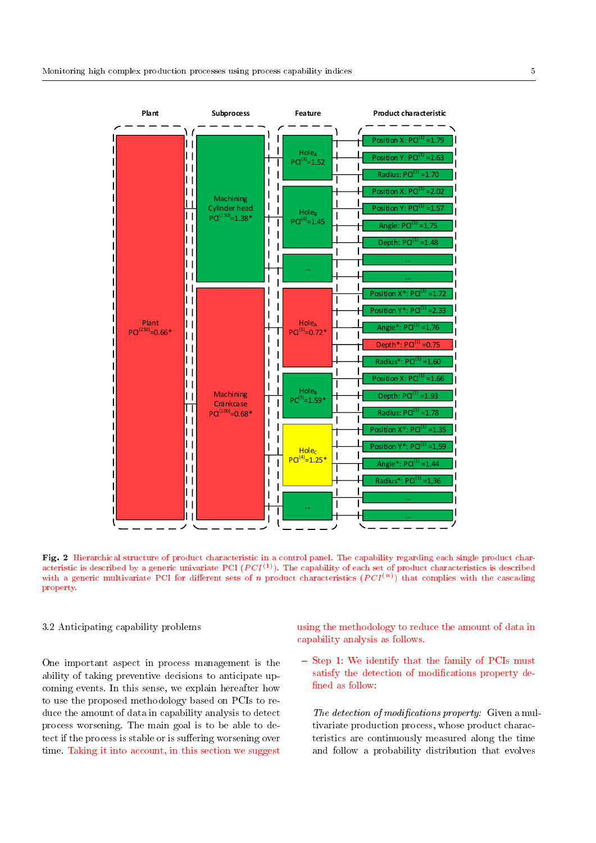

Fig. 2 Hierarchical structure of product characteristic in a control panel. The capability regarding each single product characteristic is described by a generic univariate PCI  $(PCI^{(1)})$ . The capability of each set of product characteristics is described with a generic multivariate PCI for different sets of n product characteristics  $(PCI^{(n)})$  that complies with the cascading property.

## 3.2 Anticipating capability problems

One important aspect in process management is the ability of taking preventive decisions to anticipate upcoming events. In this sense, we explain hereafter how to use the proposed methodology based on PCIs to reduce the amount of data in capability analysis to detect process worsening. The main goal is to be able to detect if the process is stable or is suffering worsening over time. Taking it into account, in this section we suggest using the methodology to reduce the amount of data in capability analysis as follows.

- Step 1: We identify that the family of PCIs must satisfy the detection of modifications property defined as follow:

The detection of modifications property: Given a multivariate production process, whose product characteristics are continuously measured along the time and follow a probability distribution that evolves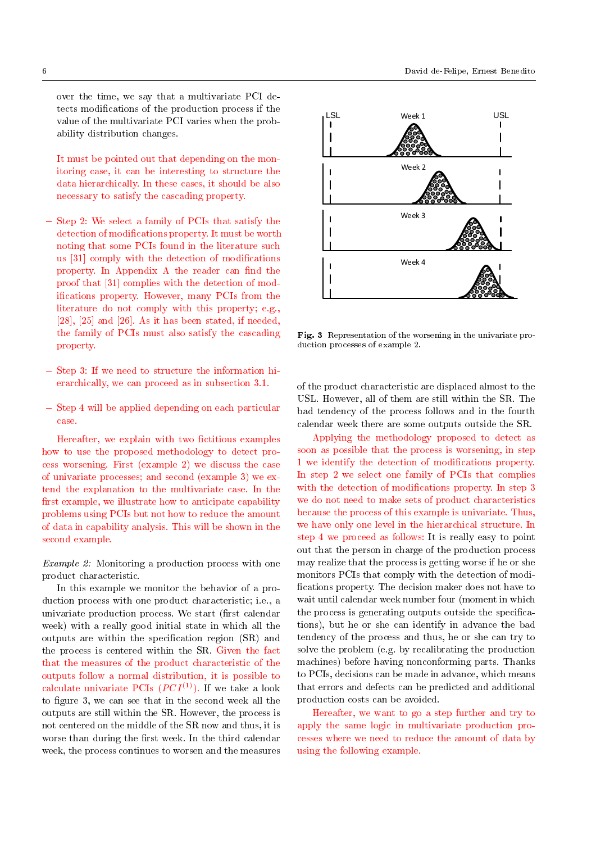over the time, we say that a multivariate PCI detects modications of the production process if the value of the multivariate PCI varies when the probability distribution changes.

It must be pointed out that depending on the monitoring case, it can be interesting to structure the data hierarchically. In these cases, it should be also necessary to satisfy the cascading property.

- { Step 2: We select a family of PCIs that satisfy the detection of modications property. It must be worth noting that some PCIs found in the literature such us [31] comply with the detection of modications property. In Appendix A the reader can find the proof that [31] complies with the detection of modications property. However, many PCIs from the literature do not comply with this property; e.g., [28], [25] and [26]. As it has been stated, if needed, the family of PCIs must also satisfy the cascading property.
- $=$  Step 3: If we need to structure the information hierarchically, we can proceed as in subsection 3.1.
- $=$  Step 4 will be applied depending on each particular case.

Hereafter, we explain with two fictitious examples how to use the proposed methodology to detect process worsening. First (example 2) we discuss the case of univariate processes; and second (example 3) we extend the explanation to the multivariate case. In the first example, we illustrate how to anticipate capability problems using PCIs but not how to reduce the amount of data in capability analysis. This will be shown in the second example.

Example 2: Monitoring a production process with one product characteristic.

In this example we monitor the behavior of a production process with one product characteristic; i.e., a univariate production process. We start (first calendar week) with a really good initial state in which all the outputs are within the specification region (SR) and the process is centered within the SR. Given the fact that the measures of the product characteristic of the outputs follow a normal distribution, it is possible to calculate univariate PCIs  $(PCI^{(1)})$ . If we take a look to figure 3, we can see that in the second week all the outputs are still within the SR. However, the process is not centered on the middle of the SR now and thus, it is worse than during the first week. In the third calendar week, the process continues to worsen and the measures



Fig. 3 Representation of the worsening in the univariate production processes of example 2.

of the product characteristic are displaced almost to the USL. However, all of them are still within the SR. The bad tendency of the process follows and in the fourth calendar week there are some outputs outside the SR.

Applying the methodology proposed to detect as soon as possible that the process is worsening, in step 1 we identify the detection of modications property. In step 2 we select one family of PCIs that complies with the detection of modifications property. In step 3 we do not need to make sets of product characteristics because the process of this example is univariate. Thus, we have only one level in the hierarchical structure. In step 4 we proceed as follows: It is really easy to point out that the person in charge of the production process may realize that the process is getting worse if he or she monitors PCIs that comply with the detection of modi fications property. The decision maker does not have to wait until calendar week number four (moment in which the process is generating outputs outside the specifications), but he or she can identify in advance the bad tendency of the process and thus, he or she can try to solve the problem (e.g. by recalibrating the production machines) before having nonconforming parts. Thanks to PCIs, decisions can be made in advance, which means that errors and defects can be predicted and additional production costs can be avoided.

Hereafter, we want to go a step further and try to apply the same logic in multivariate production processes where we need to reduce the amount of data by using the following example.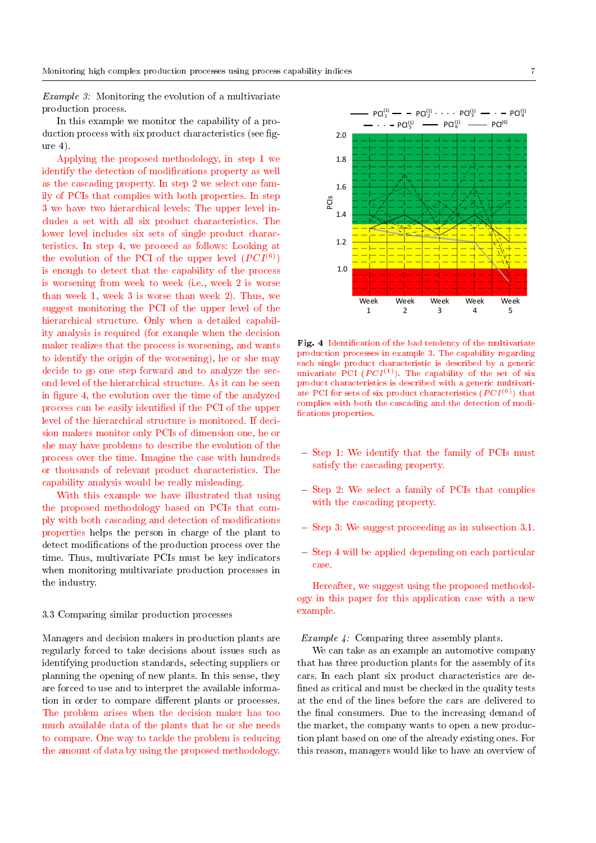Example 3: Monitoring the evolution of a multivariate production process.

In this example we monitor the capability of a production process with six product characteristics (see figure 4).

Applying the proposed methodology, in step 1 we identify the detection of modications property as well as the cascading property. In step 2 we select one family of PCIs that complies with both properties. In step 3 we have two hierarchical levels: The upper level includes a set with all six product characteristics. The lower level includes six sets of single product characteristics. In step 4, we proceed as follows: Looking at the evolution of the PCI of the upper level  $(PCI^{(6)})$ is enough to detect that the capability of the process is worsening from week to week (i.e., week 2 is worse than week 1, week 3 is worse than week 2). Thus, we suggest monitoring the PCI of the upper level of the hierarchical structure. Only when a detailed capability analysis is required (for example when the decision maker realizes that the process is worsening, and wants to identify the origin of the worsening), he or she may decide to go one step forward and to analyze the second level of the hierarchical structure. As it can be seen in figure 4, the evolution over the time of the analyzed process can be easily identied if the PCI of the upper level of the hierarchical structure is monitored. If decision makers monitor only PCIs of dimension one, he or she may have problems to describe the evolution of the process over the time. Imagine the case with hundreds or thousands of relevant product characteristics. The capability analysis would be really misleading.

With this example we have illustrated that using the proposed methodology based on PCIs that comply with both cascading and detection of modications properties helps the person in charge of the plant to detect modifications of the production process over the time. Thus, multivariate PCIs must be key indicators when monitoring multivariate production processes in the industry.

#### 3.3 Comparing similar production processes

Managers and decision makers in production plants are regularly forced to take decisions about issues such as identifying production standards, selecting suppliers or planning the opening of new plants. In this sense, they are forced to use and to interpret the available information in order to compare different plants or processes. The problem arises when the decision maker has too much available data of the plants that he or she needs to compare. One way to tackle the problem is reducing the amount of data by using the proposed methodology.



Fig. 4 Identification of the bad tendency of the multivariate production processes in example 3. The capability regarding each single product characteristic is described by a generic univariate PCI  $(PCI^{(1)})$ . The capability of the set of six product characteristics is described with a generic multivariate PCI for sets of six product characteristics  $(PCI^{(6)})$  that complies with both the cascading and the detection of modi fications properties.

- $-$  Step 1: We identify that the family of PCIs must satisfy the cascading property.
- $=$  Step 2: We select a family of PCIs that complies with the cascading property.
- Step 3: We suggest proceeding as in subsection 3.1.
- $-$  Step 4 will be applied depending on each particular case.

Hereafter, we suggest using the proposed methodology in this paper for this application case with a new example.

## Example 4: Comparing three assembly plants.

We can take as an example an automotive company that has three production plants for the assembly of its cars. In each plant six product characteristics are de fined as critical and must be checked in the quality tests at the end of the lines before the cars are delivered to the final consumers. Due to the increasing demand of the market, the company wants to open a new production plant based on one of the already existing ones. For this reason, managers would like to have an overview of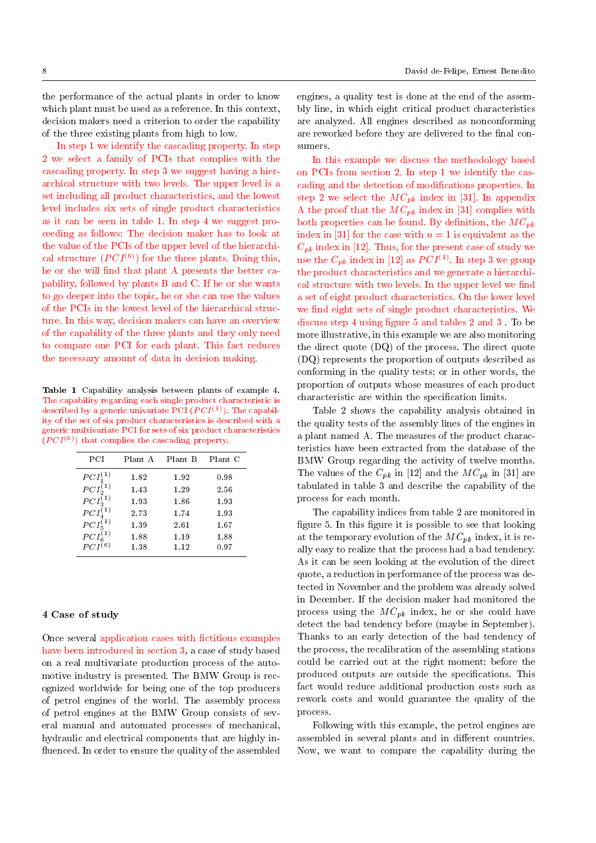the performance of the actual plants in order to know which plant must be used as a reference. In this context, decision makers need a criterion to order the capability of the three existing plants from high to low.

In step 1 we identify the cascading property. In step 2 we select a family of PCIs that complies with the cascading property. In step 3 we suggest having a hierarchical structure with two levels. The upper level is a set including all product characteristics, and the lowest level includes six sets of single product characteristics as it can be seen in table 1. In step 4 we suggest proceeding as follows: The decision maker has to look at the value of the PCIs of the upper level of the hierarchical structure  $(PCI^{(6)})$  for the three plants. Doing this, he or she will find that plant A presents the better capability, followed by plants B and C. If he or she wants to go deeper into the topic, he or she can use the values of the PCIs in the lowest level of the hierarchical structure. In this way, decision makers can have an overview of the capability of the three plants and they only need to compare one PCI for each plant. This fact reduces the necessary amount of data in decision making.

Table 1 Capability analysis between plants of example 4. The capability regarding each single product characteristic is described by a generic univariate PCI  $(PCI^{(1)})$ . The capability of the set of six product characteristics is described with a generic multivariate PCI for sets of six product characteristics  $(PCI^{(6)})$  that complies the cascading property.

| PCI                               | Plant A | Plant B | Plant C |
|-----------------------------------|---------|---------|---------|
| $PCI_1^{(1)}$                     | 1.82    | 1.92    | 0.98    |
| $PCI_2^{(1)}$                     | 1.43    | 1.29    | 2.56    |
| $PCI_3^{(1)}$                     | 1.93    | 1.86    | 1.93    |
| $PCI_4^{(1)}$                     | 2.73    | 1.74    | 1.93    |
| $PCI_{5}^{(1)}$                   | 1.39    | 2.61    | 1.67    |
| $\frac{PCI_{6}^{(1)}}{PCI^{(6)}}$ | 1.88    | 1.19    | 1.88    |
|                                   | 1.38    | 1.12    | 0.97    |

# 4 Case of study

 $\overline{a}$ 

Once several application cases with fictitious examples have been introduced in section 3, a case of study based on a real multivariate production process of the automotive industry is presented. The BMW Group is recognized worldwide for being one of the top producers of petrol engines of the world. The assembly process of petrol engines at the BMW Group consists of several manual and automated processes of mechanical, hydraulic and electrical components that are highly in fluenced. In order to ensure the quality of the assembled

engines, a quality test is done at the end of the assembly line, in which eight critical product characteristics are analyzed. All engines described as nonconforming are reworked before they are delivered to the final consumers.

In this example we discuss the methodology based on PCIs from section 2. In step 1 we identify the cascading and the detection of modications properties. In step 2 we select the  $MC_{pk}$  index in [31]. In appendix A the proof that the  $MC_{pk}$  index in [31] complies with both properties can be found. By definition, the  $MC_{pk}$ index in [31] for the case with  $n = 1$  is equivalent as the  $C_{pk}$  index in [12]. Thus, for the present case of study we use the  $C_{pk}$  index in [12] as  $PCI^{(1)}$ . In step 3 we group the product characteristics and we generate a hierarchical structure with two levels. In the upper level we find a set of eight product characteristics. On the lower level we find eight sets of single product characteristics. We discuss step 4 using figure 5 and tables 2 and 3. To be more illustrative, in this example we are also monitoring the direct quote (DQ) of the process. The direct quote (DQ) represents the proportion of outputs described as conforming in the quality tests; or in other words, the proportion of outputs whose measures of each product characteristic are within the specification limits.

Table 2 shows the capability analysis obtained in the quality tests of the assembly lines of the engines in a plant named A. The measures of the product characteristics have been extracted from the database of the BMW Group regarding the activity of twelve months. The values of the  $C_{pk}$  in [12] and the  $MC_{pk}$  in [31] are tabulated in table 3 and describe the capability of the process for each month.

The capability indices from table 2 are monitored in figure 5. In this figure it is possible to see that looking at the temporary evolution of the  $MC_{pk}$  index, it is really easy to realize that the process had a bad tendency. As it can be seen looking at the evolution of the direct quote, a reduction in performance of the process was detected in November and the problem was already solved in December. If the decision maker had monitored the process using the  $MC_{pk}$  index, he or she could have detect the bad tendency before (maybe in September). Thanks to an early detection of the bad tendency of the process, the recalibration of the assembling stations could be carried out at the right moment: before the produced outputs are outside the specifications. This fact would reduce additional production costs such as rework costs and would guarantee the quality of the process.

Following with this example, the petrol engines are assembled in several plants and in different countries. Now, we want to compare the capability during the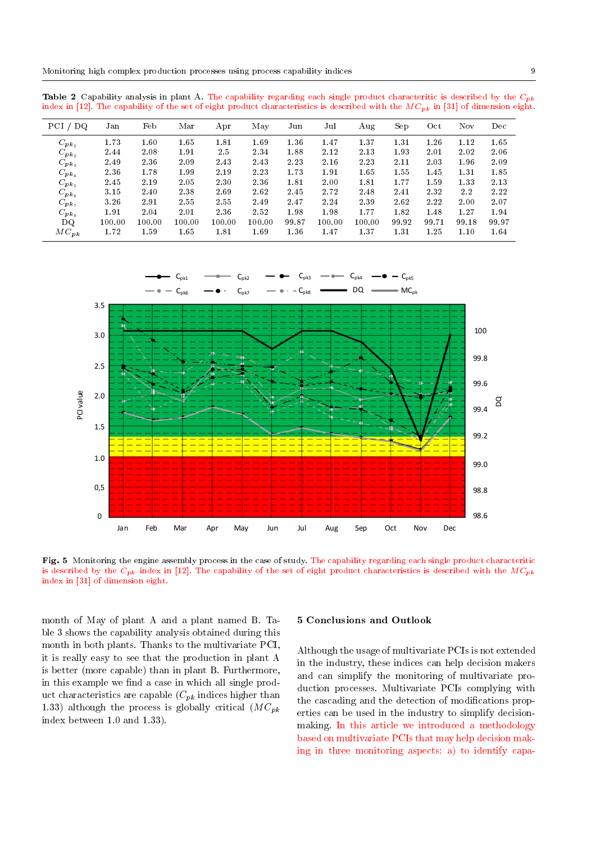**Table 2** Capability analysis in plant A. The capability regarding each single product characteritic is described by the  $C_{pk}$ index in [12]. The capability of the set of eight product characteristics is described with the  $MC_{pk}$  in [31] of dimension eight.

| $PCI$ /<br>DQ   | Jan    | Feb    | Mar    | Apr    | May    | Jun   | Jul    | Aug    | Sep   | Oct   | Nov   | Dec   |
|-----------------|--------|--------|--------|--------|--------|-------|--------|--------|-------|-------|-------|-------|
| $C_{p\,k_1}$    | 1.73   | 1.60   | 1.65   | 1.81   | 1.69   | 1.36  | 1.47   | 1.37   | 1.31  | 1.26  | 1.12  | 1.65  |
| $C_{pk_2}$      | 2.44   | 2.08   | 1.91   | 2.5    | 2.34   | 1.88  | 2.12   | 2.13   | 1.93  | 2.01  | 2.02  | 2.06  |
| $C_{p\bm{k}_3}$ | 2.49   | 2.36   | 2.09   | 2.43   | 2.43   | 2.23  | 2.16   | 2.23   | 2.11  | 2.03  | 1.96  | 2.09  |
| $C_{p\bm{k}_4}$ | 2.36   | 1.78   | 1.99   | 2.19   | 2.23   | 1.73  | 1.91   | 1.65   | 1.55  | 1.45  | 1.31  | 1.85  |
| $C_{p\bm{k}_5}$ | 2.45   | 2.19   | 2.05   | 2.30   | 2.36   | 1.81  | 2.00   | 1.81   | 1.77  | 1.59  | 1.33  | 2.13  |
| $C_{pk_6}$      | 3.15   | 2.40   | 2.38   | 2.69   | 2.62   | 2.45  | 2.72   | 2.48   | 2.41  | 2.32  | 2.2   | 2.22  |
| $C_{p\,k_7}$    | 3.26   | 2.91   | 2.55   | 2.55   | 2.49   | 2.47  | 2.24   | 2.39   | 2.62  | 2.22  | 2.00  | 2.07  |
| $C_{pk_8}$      | 1.91   | 2.04   | 2.01   | 2.36   | 2.52   | 1.98  | 1.98   | 1.77   | 1.82  | 1.48  | 1.27  | 1.94  |
| DQ              | 100.00 | 100.00 | 100.00 | 100.00 | 100.00 | 99.87 | 100.00 | 100.00 | 99.92 | 99.71 | 99.18 | 99.97 |
| $MC_{pk}$       | 1.72   | 1.59   | 1.65   | 1.81   | 1.69   | 1.36  | 1.47   | 1.37   | 1.31  | 1.25  | 1.10  | 1.64  |



Fig. 5 Monitoring the engine assembly process in the case of study. The capability regarding each single product characteritic is described by the  $C_{pk}$  index in [12]. The capability of the set of eight product characteristics is described with the  $MC_{pk}$ index in [31] of dimension eight.

month of May of plant A and a plant named B. Table 3 shows the capability analysis obtained during this month in both plants. Thanks to the multivariate PCI, it is really easy to see that the production in plant A is better (more capable) than in plant B. Furthermore, in this example we find a case in which all single product characteristics are capable  $(C_{pk}$  indices higher than 1.33) although the process is globally critical  $(MC_{pk})$ index between 1.0 and 1.33).

## 5 Conclusions and Outlook

Although the usage of multivariate PCIs is not extended in the industry, these indices can help decision makers and can simplify the monitoring of multivariate production processes. Multivariate PCIs complying with the cascading and the detection of modifications properties can be used in the industry to simplify decisionmaking. In this article we introduced a methodology based on multivariate PCIs that may help decision making in three monitoring aspects: a) to identify capa-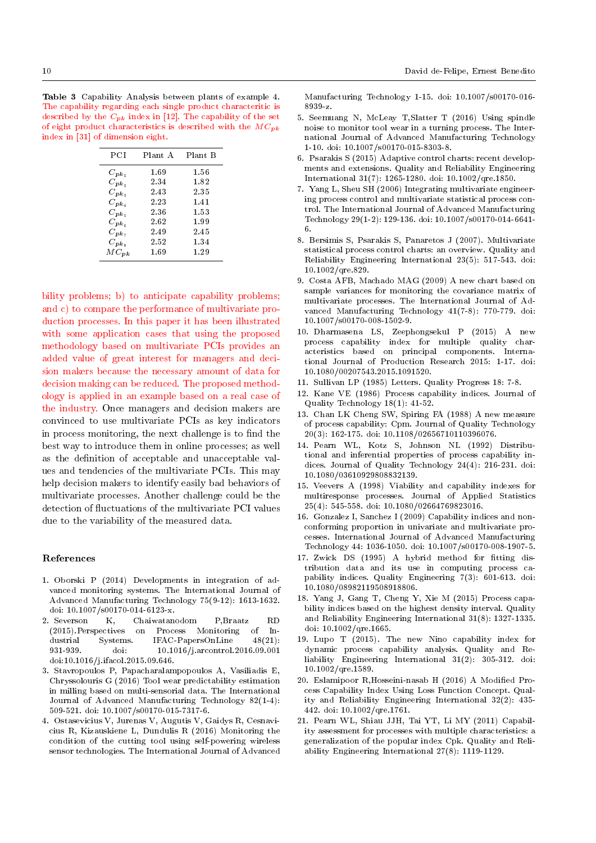Table 3 Capability Analysis between plants of example 4. The capability regarding each single product characteritic is described by the  $\tilde{C}_{pk}$  index in [12]. The capability of the set of eight product characteristics is described with the  $MC_{pk}$ index in [31] of dimension eight.

| PCI                       | Plant A | Plant B |
|---------------------------|---------|---------|
| $C_{p\,k_1}$              | 1.69    | 1.56    |
| $C_{pk_2}$                | 2.34    | 1.82    |
| $C_{\bm{v}\bm{k}_3}$      | 2.43    | 2.35    |
| $C_{\bm{p}\bm{k}_A}$      | 2.23    | 1.41    |
| $C_{pk_5}$                | 2.36    | 1.53    |
| $C_{p\,k_{\mathfrak{a}}}$ | 2.62    | 1.99    |
| $C_{p\,k_z}$              | 2.49    | 2.45    |
| $C_{pk_8}$                | 2.52    | 1.34    |
| $MC_{pk}$                 | 1.69    | 1.29    |

bility problems; b) to anticipate capability problems; and c) to compare the performance of multivariate production processes. In this paper it has been illustrated with some application cases that using the proposed methodology based on multivariate PCIs provides an added value of great interest for managers and decision makers because the necessary amount of data for decision making can be reduced. The proposed methodology is applied in an example based on a real case of the industry. Once managers and decision makers are convinced to use multivariate PCIs as key indicators in process monitoring, the next challenge is to find the best way to introduce them in online processes; as well as the definition of acceptable and unacceptable values and tendencies of the multivariate PCIs. This may help decision makers to identify easily bad behaviors of multivariate processes. Another challenge could be the detection of fluctuations of the multivariate PCI values due to the variability of the measured data.

#### References

- 1. Oborski P (2014) Developments in integration of advanced monitoring systems. The International Journal of Advanced Manufacturing Technology 75(9-12): 1613-1632. doi: 10.1007/s00170-014-6123-x.
- 2. Severson K, Chaiwatanodom P,Braatz RD on Process Monitoring of Industrial Systems. IFAC-PapersOnLine 48(21): 931-939. doi: 10.1016/j.arcontrol.2016.09.001 doi:10.1016/j.ifacol.2015.09.646.
- 3. Stavropoulos P, Papacharalampopoulos A, Vasiliadis E, Chryssolouris G (2016) Tool wear predictability estimation in milling based on multi-sensorial data. The International Journal of Advanced Manufacturing Technology 82(1-4): 509-521. doi: 10.1007/s00170-015-7317-6.
- 4. Ostasevicius V, Jurenas V, Augutis V, Gaidys R, Cesnavicius R, Kizauskiene L, Dundulis R (2016) Monitoring the condition of the cutting tool using self-powering wireless sensor technologies. The International Journal of Advanced

Manufacturing Technology 1-15. doi: 10.1007/s00170-016- 8939-z.

- 5. Seemuang N, McLeay T,Slatter T (2016) Using spindle noise to monitor tool wear in a turning process. The International Journal of Advanced Manufacturing Technology 1-10. doi: 10.1007/s00170-015-8303-8.
- 6. Psarakis S (2015) Adaptive control charts: recent developments and extensions. Quality and Reliability Engineering International 31(7): 1265-1280. doi: 10.1002/qre.1850.
- 7. Yang L, Sheu SH (2006) Integrating multivariate engineering process control and multivariate statistical process control. The International Journal of Advanced Manufacturing Technology 29(1-2): 129-136. doi: 10.1007/s00170-014-6641- 6.
- 8. Bersimis S, Psarakis S, Panaretos J (2007). Multivariate statistical process control charts: an overview. Quality and Reliability Engineering International 23(5): 517-543. doi: 10.1002/qre.829.
- 9. Costa AFB, Machado MAG (2009) A new chart based on sample variances for monitoring the covariance matrix of multivariate processes. The International Journal of Advanced Manufacturing Technology 41(7-8): 770-779. doi: 10.1007/s00170-008-1502-9.
- 10. Dharmasena LS, Zeephongsekul P (2015) A new process capability index for multiple quality characteristics based on principal components. International Journal of Production Research 2015: 1-17. doi: 10.1080/00207543.2015.1091520.
- 11. Sullivan LP (1985) Letters. Quality Progress 18: 7-8.
- 12. Kane VE (1986) Process capability indices. Journal of Quality Technology 18(1): 41-52.
- 13. Chan LK Cheng SW, Spiring FA (1988) A new measure of process capability: Cpm. Journal of Quality Technology 20(3): 162-175. doi: 10.1108/02656710110396076.
- 14. Pearn WL, Kotz S, Johnson NL (1992) Distributional and inferential properties of process capability indices. Journal of Quality Technology 24(4): 216-231. doi: 10.1080/03610929808832139.
- 15. Veevers A (1998) Viability and capability indexes for multiresponse processes. Journal of Applied Statistics 25(4): 545-558. doi: 10.1080/02664769823016.
- 16. Gonzalez I, Sanchez I (2009) Capability indices and nonconforming proportion in univariate and multivariate processes. International Journal of Advanced Manufacturing Technology 44: 1036-1050. doi: 10.1007/s00170-008-1907-5.
- 17. Zwick DS (1995) A hybrid method for fitting distribution data and its use in computing process capability indices. Quality Engineering 7(3): 601-613. doi: 10.1080/08982119508918806.
- 18. Yang J, Gang T, Cheng Y, Xie M (2015) Process capability indices based on the highest density interval. Quality and Reliability Engineering International 31(8): 1327-1335. doi: 10.1002/qre.1665.
- 19. Lupo T (2015). The new Nino capability index for dynamic process capability analysis. Quality and Reliability Engineering International 31(2): 305-312. doi: 10.1002/qre.1589.
- 20. Eslamipoor R,Hosseini-nasab H (2016) A Modied Process Capability Index Using Loss Function Concept. Quality and Reliability Engineering International 32(2): 435- 442. doi: 10.1002/qre.1761.
- 21. Pearn WL, Shiau JJH, Tai YT, Li MY (2011) Capability assessment for processes with multiple characteristics: a generalization of the popular index Cpk. Quality and Reliability Engineering International 27(8): 1119-1129.